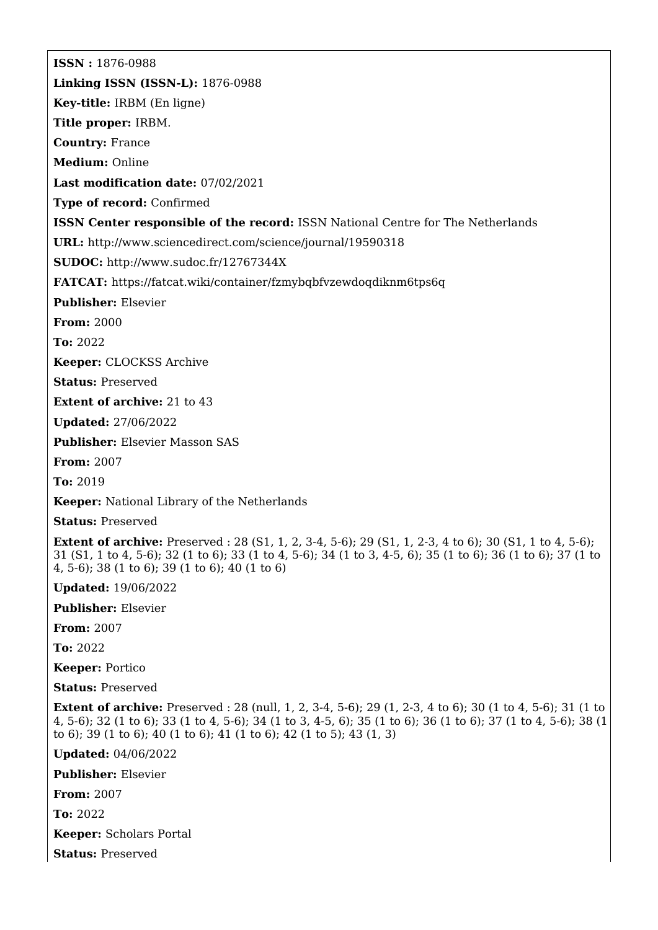**ISSN :** 1876-0988 **Linking ISSN (ISSN-L):** 1876-0988 **Key-title:** IRBM (En ligne) **Title proper:** IRBM. **Country:** France **Medium:** Online **Last modification date:** 07/02/2021 **Type of record:** Confirmed **ISSN Center responsible of the record:** ISSN National Centre for The Netherlands **URL:** <http://www.sciencedirect.com/science/journal/19590318> **SUDOC:** <http://www.sudoc.fr/12767344X> **FATCAT:** <https://fatcat.wiki/container/fzmybqbfvzewdoqdiknm6tps6q> **Publisher:** Elsevier **From:** 2000 **To:** 2022 **Keeper:** CLOCKSS Archive **Status:** Preserved **Extent of archive:** 21 to 43 **Updated:** 27/06/2022 **Publisher:** Elsevier Masson SAS **From:** 2007 **To:** 2019 **Keeper:** National Library of the Netherlands **Status:** Preserved **Extent of archive:** Preserved : 28 (S1, 1, 2, 3-4, 5-6); 29 (S1, 1, 2-3, 4 to 6); 30 (S1, 1 to 4, 5-6); 31 (S1, 1 to 4, 5-6); 32 (1 to 6); 33 (1 to 4, 5-6); 34 (1 to 3, 4-5, 6); 35 (1 to 6); 36 (1 to 6); 37 (1 to 4, 5-6); 38 (1 to 6); 39 (1 to 6); 40 (1 to 6) **Updated:** 19/06/2022 **Publisher:** Elsevier **From:** 2007 **To:** 2022 **Keeper:** Portico

**Status:** Preserved

**Extent of archive:** Preserved : 28 (null, 1, 2, 3-4, 5-6); 29 (1, 2-3, 4 to 6); 30 (1 to 4, 5-6); 31 (1 to 4, 5-6); 32 (1 to 6); 33 (1 to 4, 5-6); 34 (1 to 3, 4-5, 6); 35 (1 to 6); 36 (1 to 6); 37 (1 to 4, 5-6); 38 (1 to 6); 39 (1 to 6); 40 (1 to 6); 41 (1 to 6); 42 (1 to 5); 43 (1, 3)

**Updated:** 04/06/2022

**Publisher:** Elsevier

**From:** 2007

**To:** 2022

**Keeper:** Scholars Portal

**Status:** Preserved